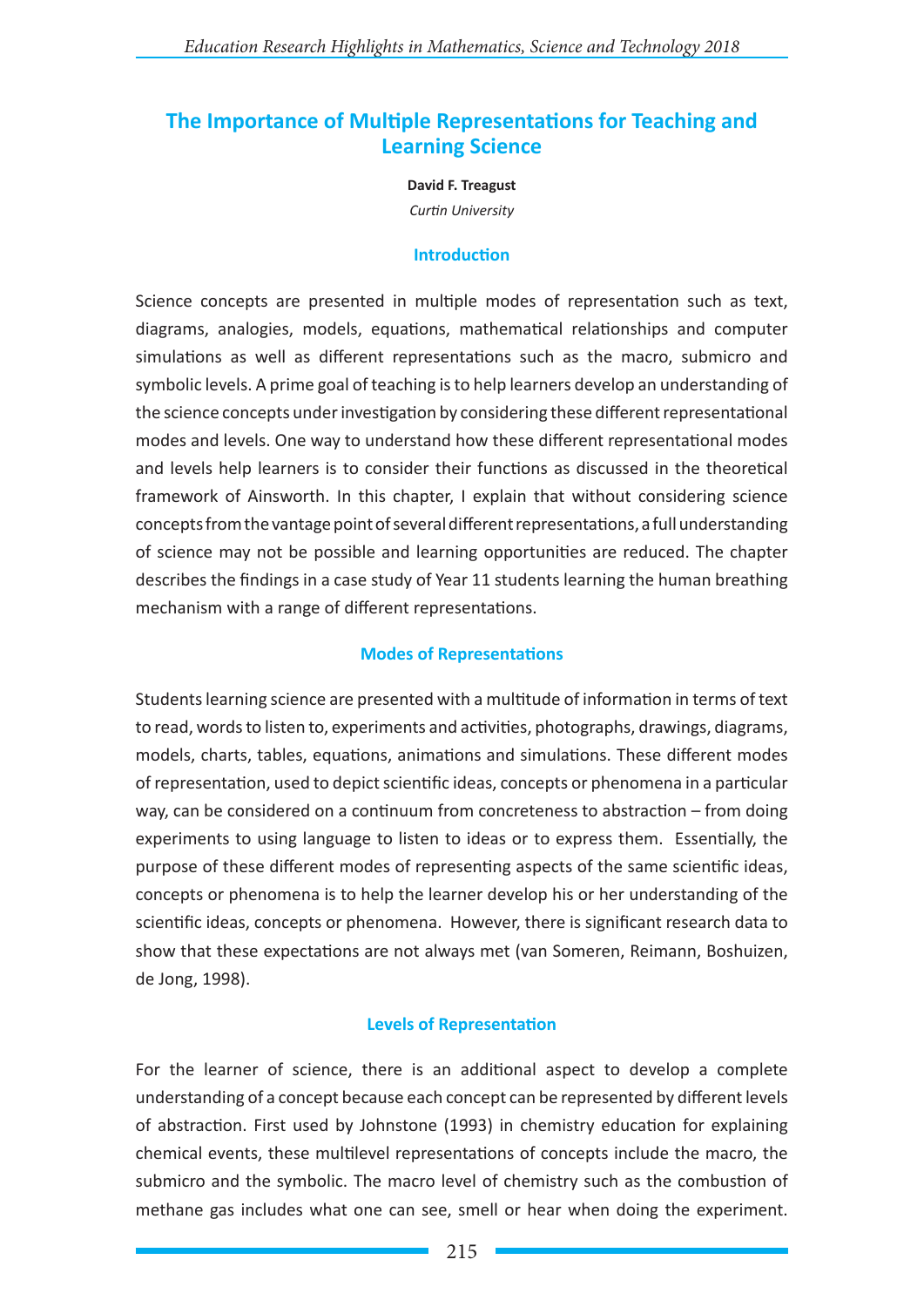# **The Importance of Multiple Representations for Teaching and Learning Science**

**David F. Treagust** *Curtin University*

### **Introduction**

Science concepts are presented in multiple modes of representation such as text, diagrams, analogies, models, equations, mathematical relationships and computer simulations as well as different representations such as the macro, submicro and symbolic levels. A prime goal of teaching is to help learners develop an understanding of the science concepts under investigation by considering these different representational modes and levels. One way to understand how these different representational modes and levels help learners is to consider their functions as discussed in the theoretical framework of Ainsworth. In this chapter, I explain that without considering science concepts from the vantage point of several different representations, a full understanding of science may not be possible and learning opportunities are reduced. The chapter describes the findings in a case study of Year 11 students learning the human breathing mechanism with a range of different representations.

# **Modes of Representations**

Students learning science are presented with a multitude of information in terms of text to read, words to listen to, experiments and activities, photographs, drawings, diagrams, models, charts, tables, equations, animations and simulations. These different modes of representation, used to depict scientific ideas, concepts or phenomena in a particular way, can be considered on a continuum from concreteness to abstraction – from doing experiments to using language to listen to ideas or to express them. Essentially, the purpose of these different modes of representing aspects of the same scientific ideas, concepts or phenomena is to help the learner develop his or her understanding of the scientific ideas, concepts or phenomena. However, there is significant research data to show that these expectations are not always met (van Someren, Reimann, Boshuizen, de Jong, 1998).

# **Levels of Representation**

For the learner of science, there is an additional aspect to develop a complete understanding of a concept because each concept can be represented by different levels of abstraction. First used by Johnstone (1993) in chemistry education for explaining chemical events, these multilevel representations of concepts include the macro, the submicro and the symbolic. The macro level of chemistry such as the combustion of methane gas includes what one can see, smell or hear when doing the experiment.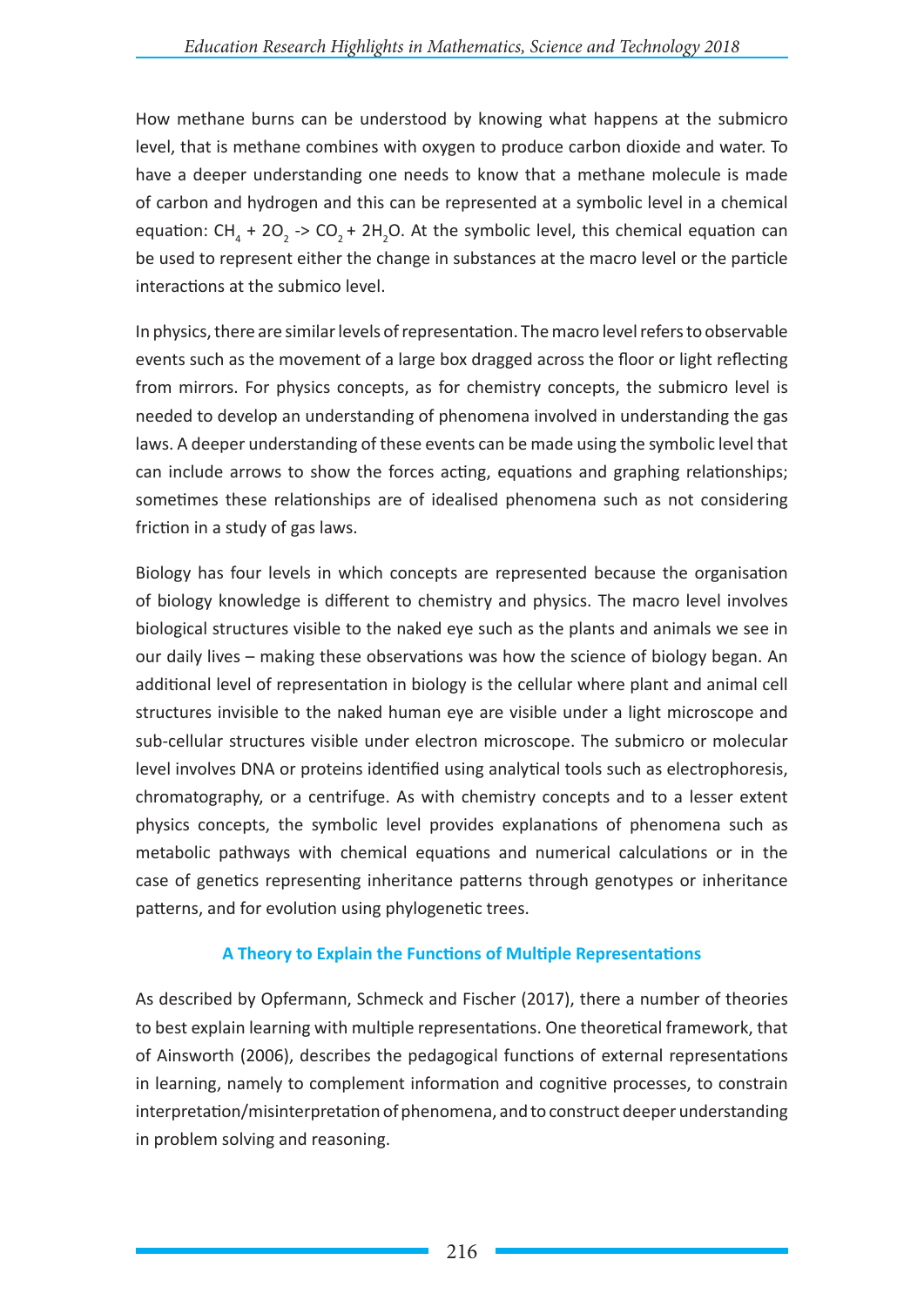How methane burns can be understood by knowing what happens at the submicro level, that is methane combines with oxygen to produce carbon dioxide and water. To have a deeper understanding one needs to know that a methane molecule is made of carbon and hydrogen and this can be represented at a symbolic level in a chemical equation:  $CH_4 + 2O_2 \rightarrow CO_2 + 2H_2O$ . At the symbolic level, this chemical equation can be used to represent either the change in substances at the macro level or the particle interactions at the submico level.

In physics, there are similar levels of representation. The macro level refers to observable events such as the movement of a large box dragged across the floor or light reflecting from mirrors. For physics concepts, as for chemistry concepts, the submicro level is needed to develop an understanding of phenomena involved in understanding the gas laws. A deeper understanding of these events can be made using the symbolic level that can include arrows to show the forces acting, equations and graphing relationships; sometimes these relationships are of idealised phenomena such as not considering friction in a study of gas laws.

Biology has four levels in which concepts are represented because the organisation of biology knowledge is different to chemistry and physics. The macro level involves biological structures visible to the naked eye such as the plants and animals we see in our daily lives – making these observations was how the science of biology began. An additional level of representation in biology is the cellular where plant and animal cell structures invisible to the naked human eye are visible under a light microscope and sub-cellular structures visible under electron microscope. The submicro or molecular level involves DNA or proteins identified using analytical tools such as electrophoresis, chromatography, or a centrifuge. As with chemistry concepts and to a lesser extent physics concepts, the symbolic level provides explanations of phenomena such as metabolic pathways with chemical equations and numerical calculations or in the case of genetics representing inheritance patterns through genotypes or inheritance patterns, and for evolution using phylogenetic trees.

# **A Theory to Explain the Functions of Multiple Representations**

As described by Opfermann, Schmeck and Fischer (2017), there a number of theories to best explain learning with multiple representations. One theoretical framework, that of Ainsworth (2006), describes the pedagogical functions of external representations in learning, namely to complement information and cognitive processes, to constrain interpretation/misinterpretation of phenomena, and to construct deeper understanding in problem solving and reasoning.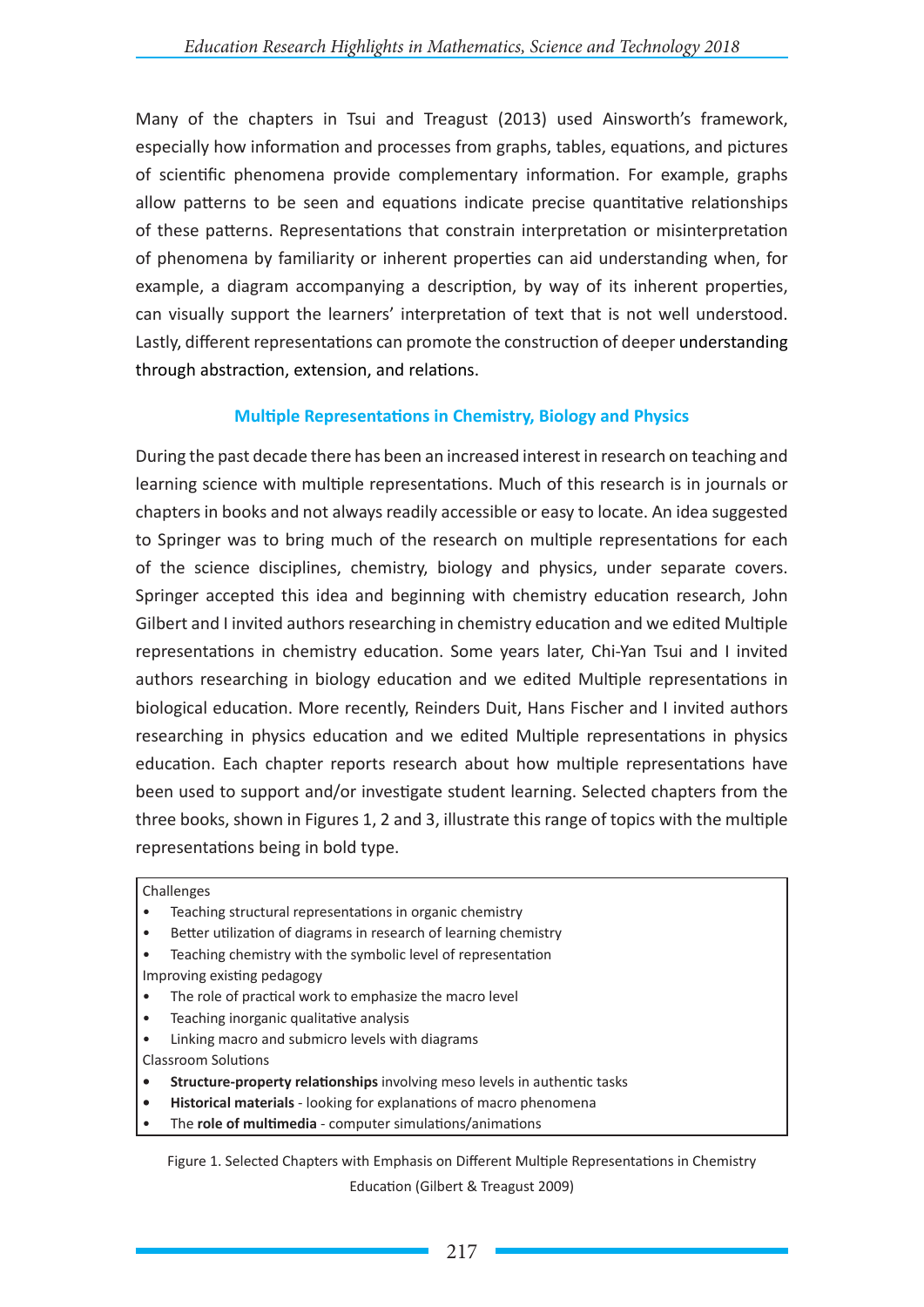Many of the chapters in Tsui and Treagust (2013) used Ainsworth's framework, especially how information and processes from graphs, tables, equations, and pictures of scientific phenomena provide complementary information. For example, graphs allow patterns to be seen and equations indicate precise quantitative relationships of these patterns. Representations that constrain interpretation or misinterpretation of phenomena by familiarity or inherent properties can aid understanding when, for example, a diagram accompanying a description, by way of its inherent properties, can visually support the learners' interpretation of text that is not well understood. Lastly, different representations can promote the construction of deeper understanding through abstraction, extension, and relations.

# **Multiple Representations in Chemistry, Biology and Physics**

During the past decade there has been an increased interest in research on teaching and learning science with multiple representations. Much of this research is in journals or chapters in books and not always readily accessible or easy to locate. An idea suggested to Springer was to bring much of the research on multiple representations for each of the science disciplines, chemistry, biology and physics, under separate covers. Springer accepted this idea and beginning with chemistry education research, John Gilbert and I invited authors researching in chemistry education and we edited Multiple representations in chemistry education. Some years later, Chi-Yan Tsui and I invited authors researching in biology education and we edited Multiple representations in biological education. More recently, Reinders Duit, Hans Fischer and I invited authors researching in physics education and we edited Multiple representations in physics education. Each chapter reports research about how multiple representations have been used to support and/or investigate student learning. Selected chapters from the three books, shown in Figures 1, 2 and 3, illustrate this range of topics with the multiple representations being in bold type.

#### Challenges

- Teaching structural representations in organic chemistry
- Better utilization of diagrams in research of learning chemistry
- Teaching chemistry with the symbolic level of representation
- Improving existing pedagogy
- The role of practical work to emphasize the macro level
- Teaching inorganic qualitative analysis
- Linking macro and submicro levels with diagrams
- Classroom Solutions
- **• Structure-property relationships** involving meso levels in authentic tasks
- **• Historical materials** looking for explanations of macro phenomena
- The **role of multimedia** computer simulations/animations

Figure 1. Selected Chapters with Emphasis on Different Multiple Representations in Chemistry

Education (Gilbert & Treagust 2009)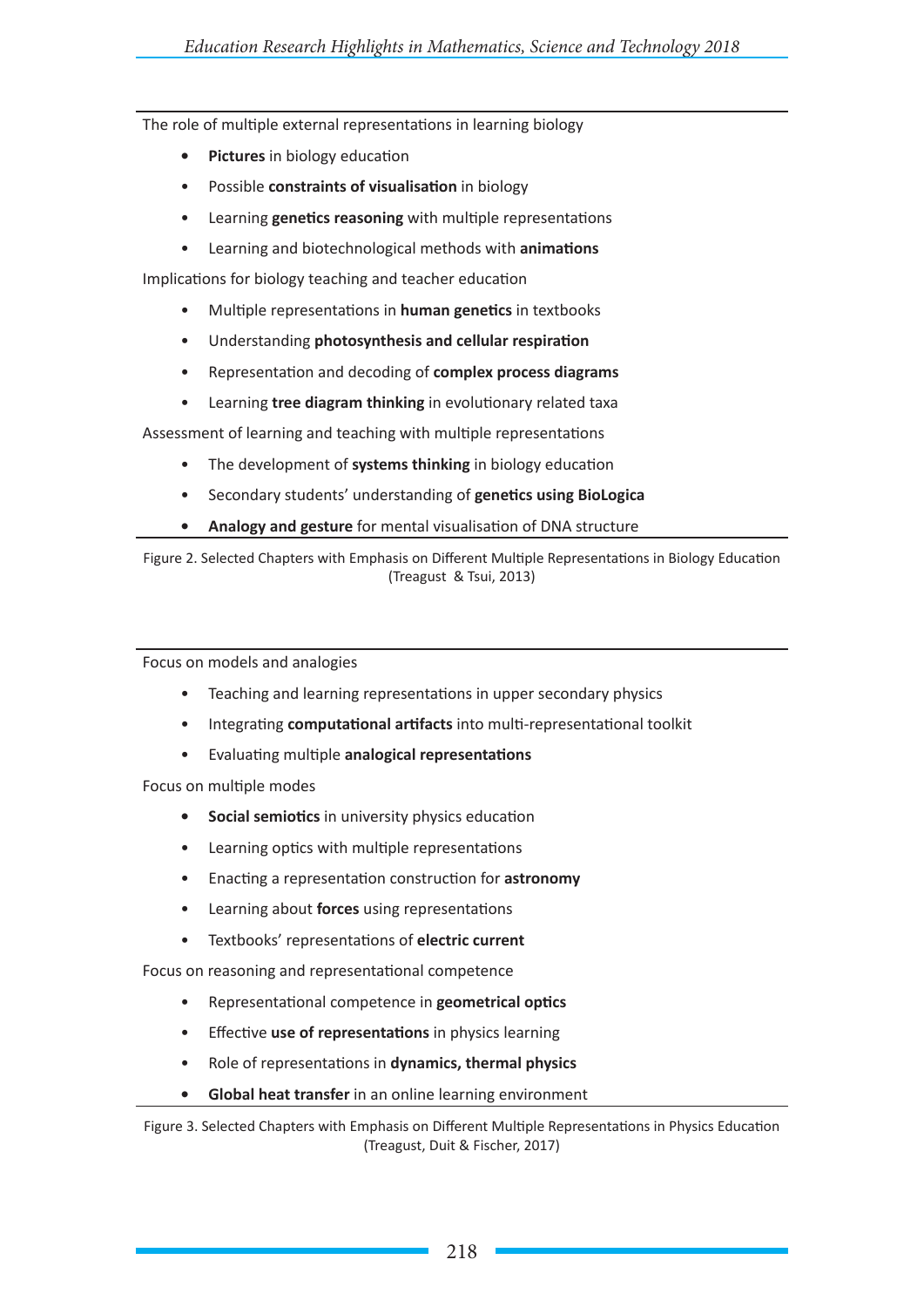The role of multiple external representations in learning biology

- **• Pictures** in biology education
- Possible **constraints of visualisation** in biology
- Learning **genetics reasoning** with multiple representations
- Learning and biotechnological methods with **animations**

Implications for biology teaching and teacher education

- Multiple representations in **human genetics** in textbooks
- Understanding **photosynthesis and cellular respiration**
- Representation and decoding of **complex process diagrams**
- Learning **tree diagram thinking** in evolutionary related taxa

Assessment of learning and teaching with multiple representations

- The development of **systems thinking** in biology education
- Secondary students' understanding of **genetics using BioLogica**
- **• Analogy and gesture** for mental visualisation of DNA structure

Figure 2. Selected Chapters with Emphasis on Different Multiple Representations in Biology Education (Treagust & Tsui, 2013)

Focus on models and analogies

- Teaching and learning representations in upper secondary physics
- Integrating **computational artifacts** into multi-representational toolkit
- Evaluating multiple **analogical representations**

Focus on multiple modes

- **• Social semiotics** in university physics education
- Learning optics with multiple representations
- Enacting a representation construction for **astronomy**
- Learning about **forces** using representations
- Textbooks' representations of **electric current**

Focus on reasoning and representational competence

- Representational competence in **geometrical optics**
- Effective **use of representations** in physics learning
- Role of representations in **dynamics, thermal physics**
- **• Global heat transfer** in an online learning environment

Figure 3. Selected Chapters with Emphasis on Different Multiple Representations in Physics Education (Treagust, Duit & Fischer, 2017)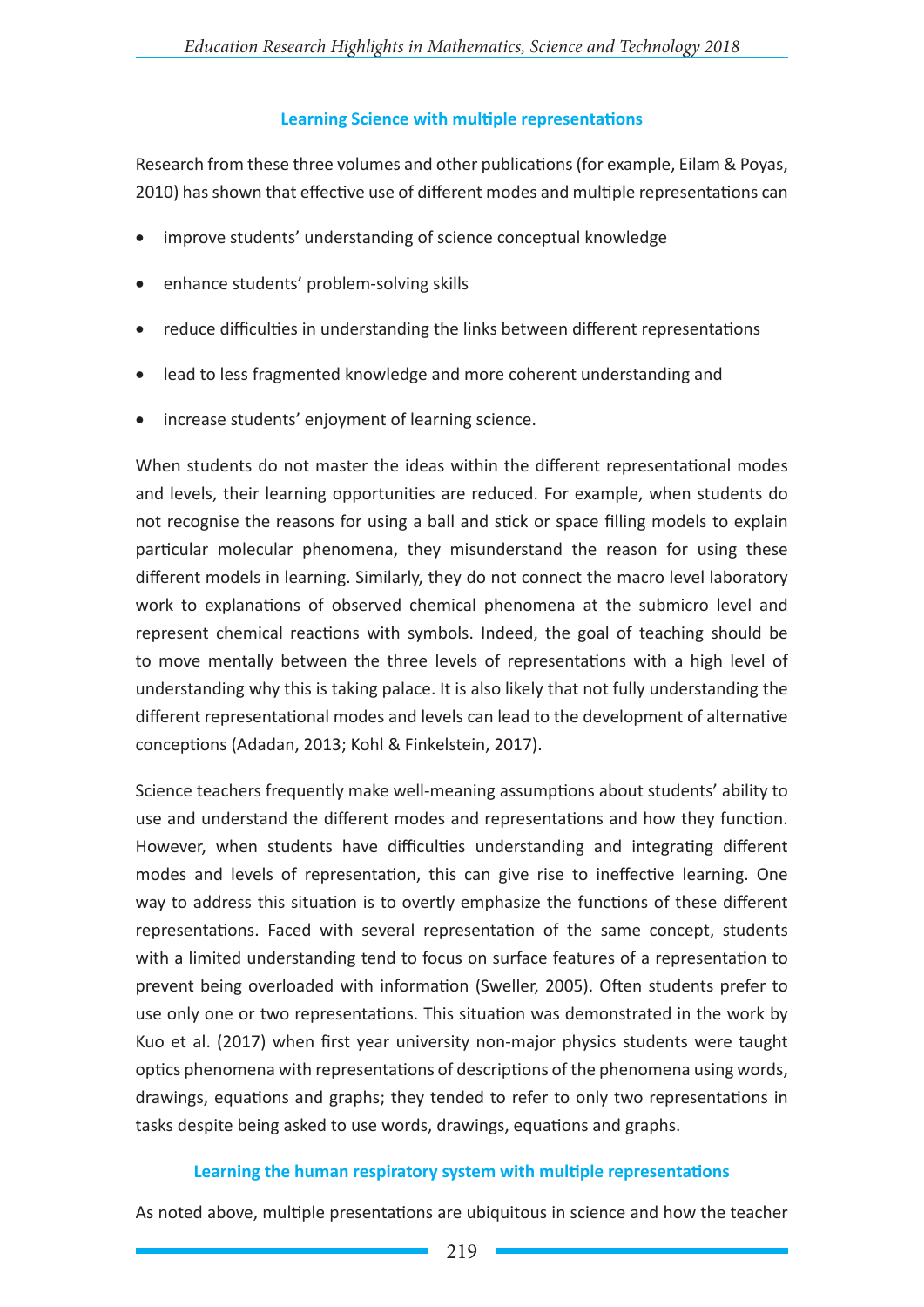# **Learning Science with multiple representations**

Research from these three volumes and other publications (for example, Eilam & Poyas, 2010) has shown that effective use of different modes and multiple representations can

- improve students' understanding of science conceptual knowledge
- enhance students' problem-solving skills
- reduce difficulties in understanding the links between different representations
- lead to less fragmented knowledge and more coherent understanding and
- increase students' enjoyment of learning science.

When students do not master the ideas within the different representational modes and levels, their learning opportunities are reduced. For example, when students do not recognise the reasons for using a ball and stick or space filling models to explain particular molecular phenomena, they misunderstand the reason for using these different models in learning. Similarly, they do not connect the macro level laboratory work to explanations of observed chemical phenomena at the submicro level and represent chemical reactions with symbols. Indeed, the goal of teaching should be to move mentally between the three levels of representations with a high level of understanding why this is taking palace. It is also likely that not fully understanding the different representational modes and levels can lead to the development of alternative conceptions (Adadan, 2013; Kohl & Finkelstein, 2017).

Science teachers frequently make well-meaning assumptions about students' ability to use and understand the different modes and representations and how they function. However, when students have difficulties understanding and integrating different modes and levels of representation, this can give rise to ineffective learning. One way to address this situation is to overtly emphasize the functions of these different representations. Faced with several representation of the same concept, students with a limited understanding tend to focus on surface features of a representation to prevent being overloaded with information (Sweller, 2005). Often students prefer to use only one or two representations. This situation was demonstrated in the work by Kuo et al. (2017) when first year university non-major physics students were taught optics phenomena with representations of descriptions of the phenomena using words, drawings, equations and graphs; they tended to refer to only two representations in tasks despite being asked to use words, drawings, equations and graphs.

# **Learning the human respiratory system with multiple representations**

As noted above, multiple presentations are ubiquitous in science and how the teacher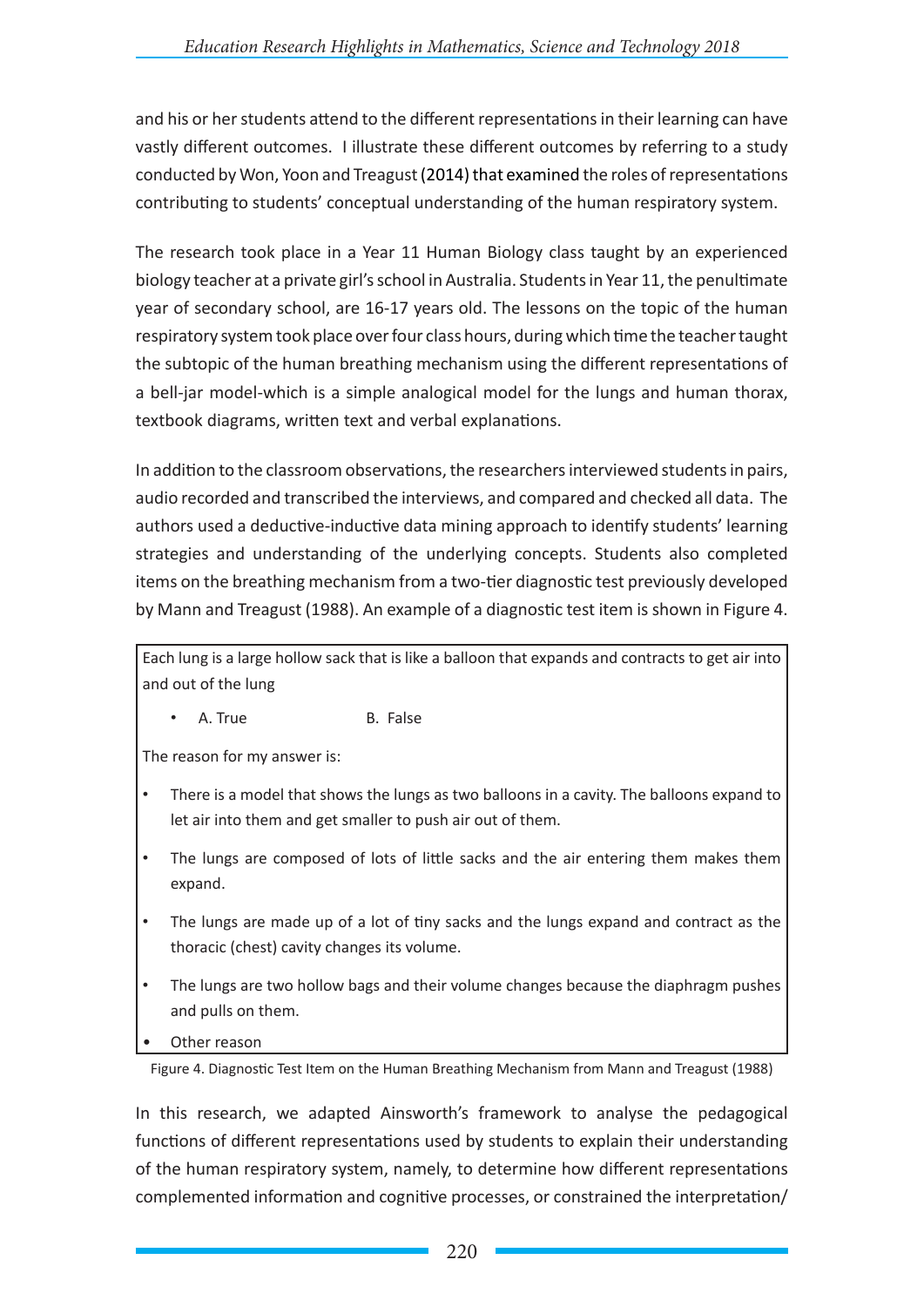and his or her students attend to the different representations in their learning can have vastly different outcomes. I illustrate these different outcomes by referring to a study conducted by Won, Yoon and Treagust (2014) that examined the roles of representations contributing to students' conceptual understanding of the human respiratory system.

The research took place in a Year 11 Human Biology class taught by an experienced biology teacher at a private girl's school in Australia. Students in Year 11, the penultimate year of secondary school, are 16-17 years old. The lessons on the topic of the human respiratory system took place over four class hours, during which time the teacher taught the subtopic of the human breathing mechanism using the different representations of a bell-jar model-which is a simple analogical model for the lungs and human thorax, textbook diagrams, written text and verbal explanations.

In addition to the classroom observations, the researchers interviewed students in pairs, audio recorded and transcribed the interviews, and compared and checked all data. The authors used a deductive-inductive data mining approach to identify students' learning strategies and understanding of the underlying concepts. Students also completed items on the breathing mechanism from a two-tier diagnostic test previously developed by Mann and Treagust (1988). An example of a diagnostic test item is shown in Figure 4.

Each lung is a large hollow sack that is like a balloon that expands and contracts to get air into and out of the lung

A. True B. False

The reason for my answer is:

- There is a model that shows the lungs as two balloons in a cavity. The balloons expand to let air into them and get smaller to push air out of them.
- The lungs are composed of lots of little sacks and the air entering them makes them expand.
- The lungs are made up of a lot of tiny sacks and the lungs expand and contract as the thoracic (chest) cavity changes its volume.
- The lungs are two hollow bags and their volume changes because the diaphragm pushes and pulls on them.

Other reason

Figure 4. Diagnostic Test Item on the Human Breathing Mechanism from Mann and Treagust (1988)

In this research, we adapted Ainsworth's framework to analyse the pedagogical functions of different representations used by students to explain their understanding of the human respiratory system, namely, to determine how different representations complemented information and cognitive processes, or constrained the interpretation/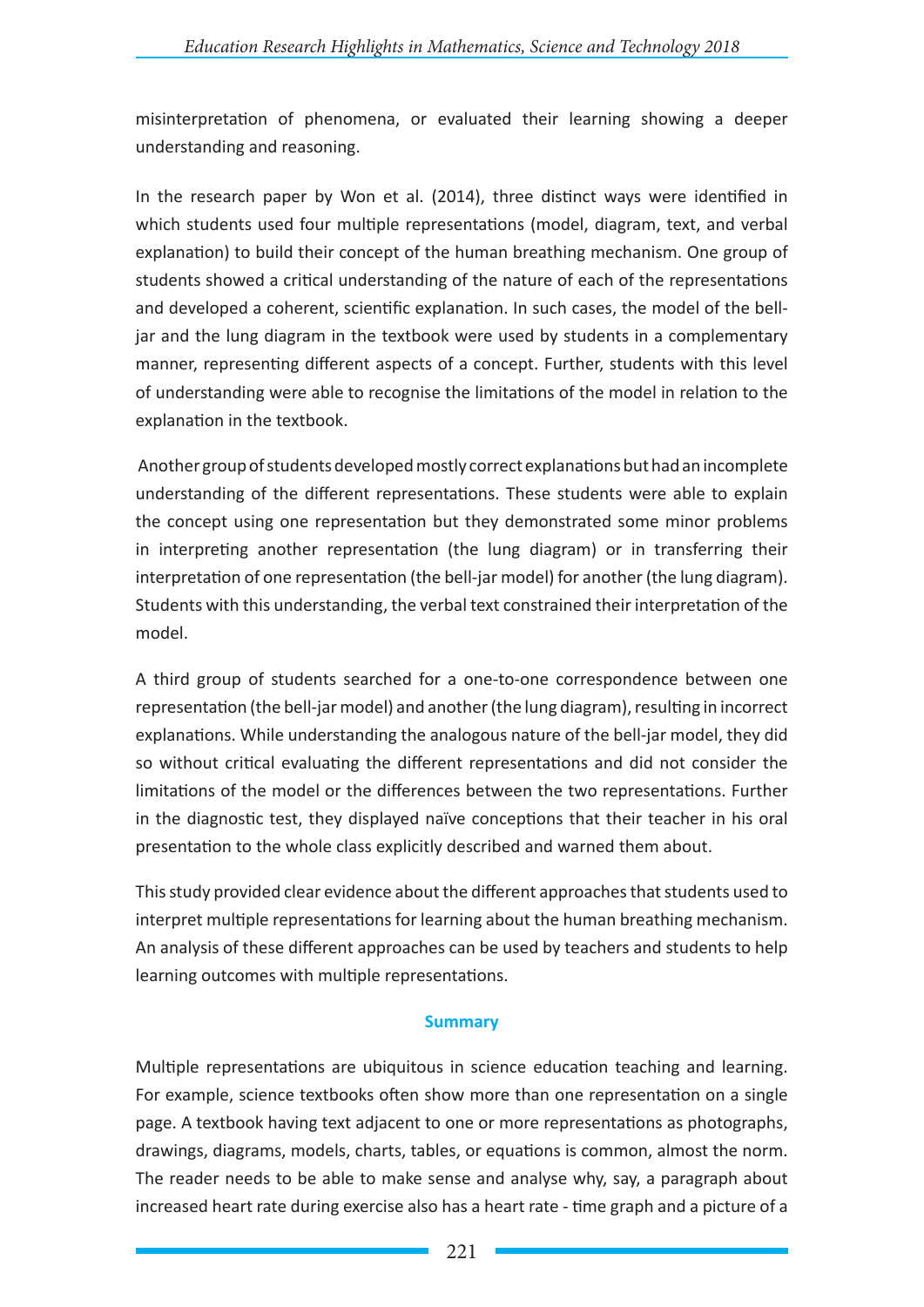misinterpretation of phenomena, or evaluated their learning showing a deeper understanding and reasoning.

In the research paper by Won et al. (2014), three distinct ways were identified in which students used four multiple representations (model, diagram, text, and verbal explanation) to build their concept of the human breathing mechanism. One group of students showed a critical understanding of the nature of each of the representations and developed a coherent, scientific explanation. In such cases, the model of the belljar and the lung diagram in the textbook were used by students in a complementary manner, representing different aspects of a concept. Further, students with this level of understanding were able to recognise the limitations of the model in relation to the explanation in the textbook.

 Another group of students developed mostly correct explanations but had an incomplete understanding of the different representations. These students were able to explain the concept using one representation but they demonstrated some minor problems in interpreting another representation (the lung diagram) or in transferring their interpretation of one representation (the bell-jar model) for another (the lung diagram). Students with this understanding, the verbal text constrained their interpretation of the model.

A third group of students searched for a one-to-one correspondence between one representation (the bell-jar model) and another (the lung diagram), resulting in incorrect explanations. While understanding the analogous nature of the bell-jar model, they did so without critical evaluating the different representations and did not consider the limitations of the model or the differences between the two representations. Further in the diagnostic test, they displayed naïve conceptions that their teacher in his oral presentation to the whole class explicitly described and warned them about.

This study provided clear evidence about the different approaches that students used to interpret multiple representations for learning about the human breathing mechanism. An analysis of these different approaches can be used by teachers and students to help learning outcomes with multiple representations.

# **Summary**

Multiple representations are ubiquitous in science education teaching and learning. For example, science textbooks often show more than one representation on a single page. A textbook having text adjacent to one or more representations as photographs, drawings, diagrams, models, charts, tables, or equations is common, almost the norm. The reader needs to be able to make sense and analyse why, say, a paragraph about increased heart rate during exercise also has a heart rate - time graph and a picture of a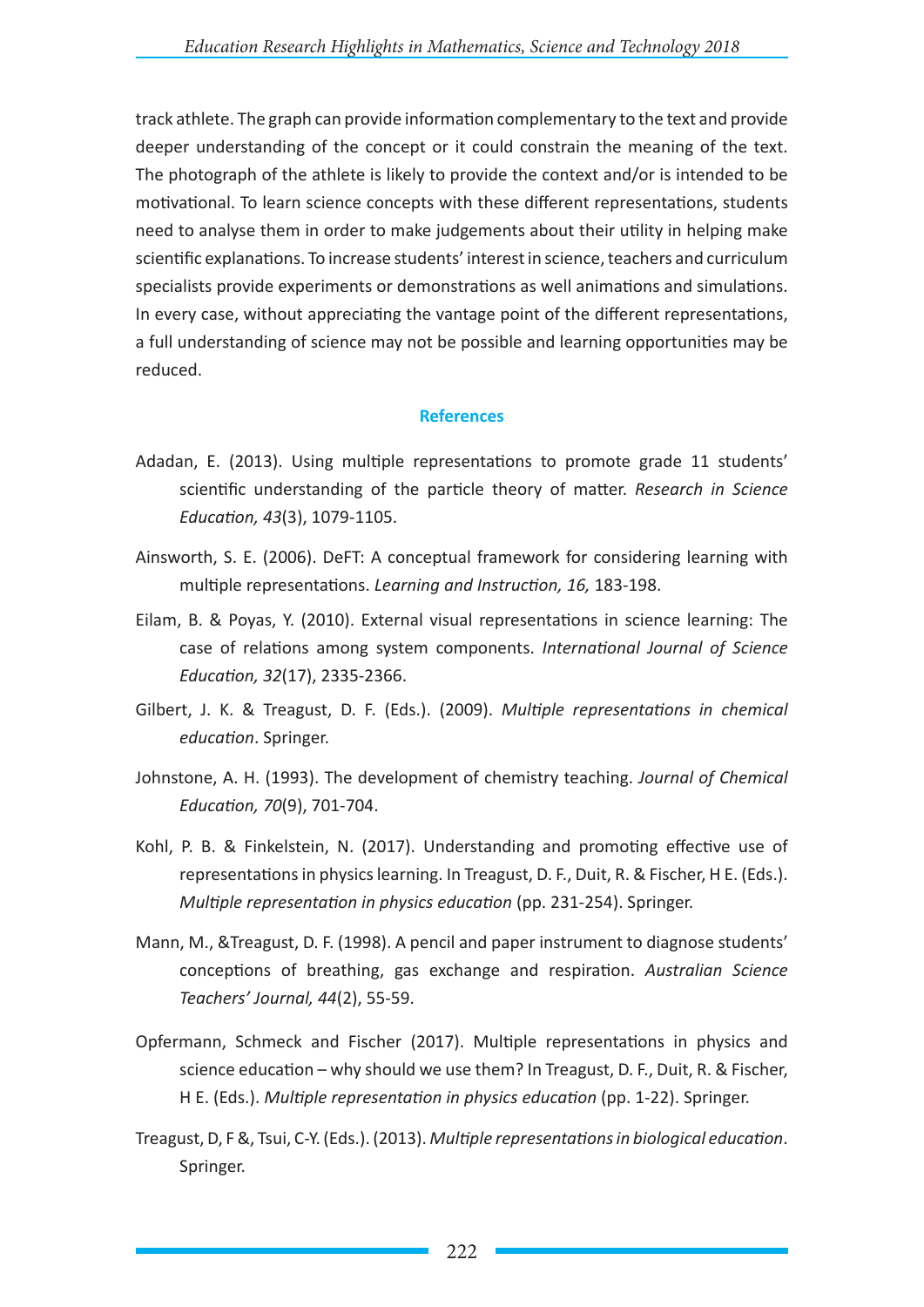track athlete. The graph can provide information complementary to the text and provide deeper understanding of the concept or it could constrain the meaning of the text. The photograph of the athlete is likely to provide the context and/or is intended to be motivational. To learn science concepts with these different representations, students need to analyse them in order to make judgements about their utility in helping make scientific explanations. To increase students' interest in science, teachers and curriculum specialists provide experiments or demonstrations as well animations and simulations. In every case, without appreciating the vantage point of the different representations, a full understanding of science may not be possible and learning opportunities may be reduced.

### **References**

- Adadan, E. (2013). Using multiple representations to promote grade 11 students' scientific understanding of the particle theory of matter. *Research in Science Education, 43*(3), 1079-1105.
- Ainsworth, S. E. (2006). DeFT: A conceptual framework for considering learning with multiple representations. *Learning and Instruction, 16,* 183-198.
- Eilam, B. & Poyas, Y. (2010). External visual representations in science learning: The case of relations among system components. *International Journal of Science Education, 32*(17), 2335-2366.
- Gilbert, J. K. & Treagust, D. F. (Eds.). (2009). *Multiple representations in chemical education*. Springer.
- Johnstone, A. H. (1993). The development of chemistry teaching. *Journal of Chemical Education, 70*(9), 701-704.
- Kohl, P. B. & Finkelstein, N. (2017). Understanding and promoting effective use of representations in physics learning. In Treagust, D. F., Duit, R. & Fischer, H E. (Eds.). *Multiple representation in physics education* (pp. 231-254). Springer.
- Mann, M., &Treagust, D. F. (1998). A pencil and paper instrument to diagnose students' conceptions of breathing, gas exchange and respiration. *Australian Science Teachers' Journal, 44*(2), 55-59.
- Opfermann, Schmeck and Fischer (2017). Multiple representations in physics and science education – why should we use them? In Treagust, D. F., Duit, R. & Fischer, H E. (Eds.). *Multiple representation in physics education* (pp. 1-22). Springer.
- Treagust, D, F &, Tsui, C-Y. (Eds.). (2013). *Multiple representations in biological education*. Springer.